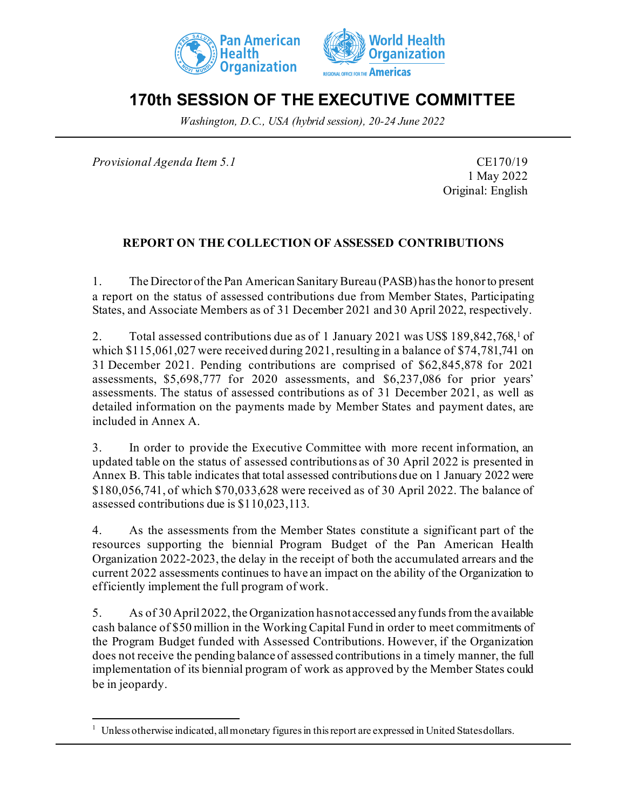



# **170th SESSION OF THE EXECUTIVE COMMITTEE**

*Washington, D.C., USA (hybrid session), 20-24 June 2022*

*Provisional Agenda Item 5.1* CE170/19

1 May 2022 Original: English

### **REPORT ON THE COLLECTION OF ASSESSED CONTRIBUTIONS**

1. The Director of the Pan American Sanitary Bureau (PASB) has the honor to present a report on the status of assessed contributions due from Member States, Participating States, and Associate Members as of 31 December 2021 and 30 April 2022, respectively.

2. Total assessed contributions due as of 1 January 2021 was US\$ 189,842,768,[1](#page-0-0) of which \$115,061,027 were received during 2021, resulting in a balance of \$74,781,741 on 31 December 2021. Pending contributions are comprised of \$62,845,878 for 2021 assessments, \$5,698,777 for 2020 assessments, and \$6,237,086 for prior years' assessments. The status of assessed contributions as of 31 December 2021, as well as detailed information on the payments made by Member States and payment dates, are included in Annex A.

3. In order to provide the Executive Committee with more recent information, an updated table on the status of assessed contributions as of 30 April 2022 is presented in Annex B. This table indicates that total assessed contributions due on 1 January 2022 were \$180,056,741, of which \$70,033,628 were received as of 30 April 2022. The balance of assessed contributions due is \$110,023,113.

4. As the assessments from the Member States constitute a significant part of the resources supporting the biennial Program Budget of the Pan American Health Organization 2022-2023, the delay in the receipt of both the accumulated arrears and the current 2022 assessments continues to have an impact on the ability of the Organization to efficiently implement the full program of work.

5. As of 30 April 2022, the Organization has not accessed any funds from the available cash balance of \$50 million in the Working Capital Fund in order to meet commitments of the Program Budget funded with Assessed Contributions. However, if the Organization does not receive the pending balance of assessed contributions in a timely manner, the full implementation of its biennial program of work as approved by the Member States could be in jeopardy.

<span id="page-0-0"></span><sup>&</sup>lt;sup>1</sup> Unless otherwise indicated, all monetary figures in this report are expressed in United States dollars.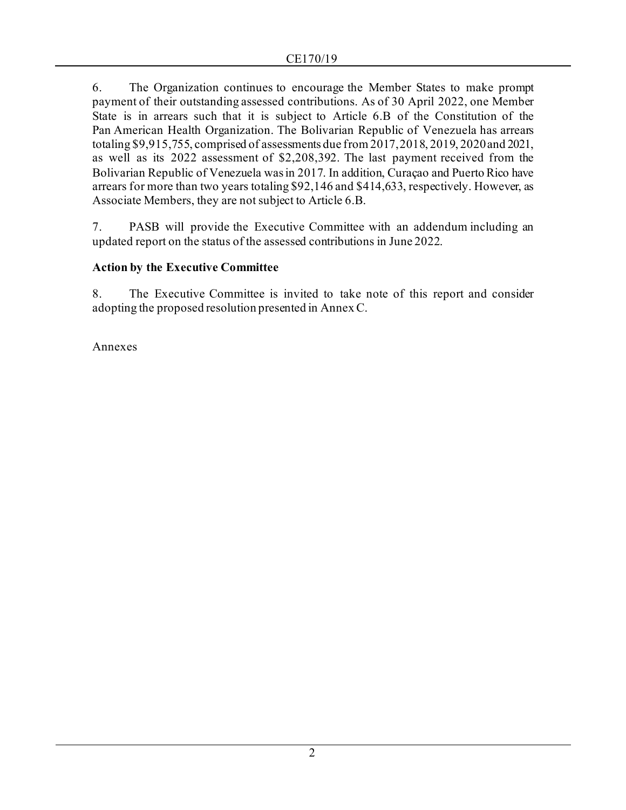6. The Organization continues to encourage the Member States to make prompt payment of their outstanding assessed contributions. As of 30 April 2022, one Member State is in arrears such that it is subject to Article 6.B of the Constitution of the Pan American Health Organization. The Bolivarian Republic of Venezuela has arrears totaling \$9,915,755, comprised of assessments due from 2017, 2018, 2019, 2020 and 2021, as well as its 2022 assessment of \$2,208,392. The last payment received from the Bolivarian Republic of Venezuela was in 2017. In addition, Curaçao and Puerto Rico have arrears for more than two years totaling \$92,146 and \$414,633, respectively. However, as Associate Members, they are not subject to Article 6.B.

7. PASB will provide the Executive Committee with an addendum including an updated report on the status of the assessed contributions in June 2022.

## **Action by the Executive Committee**

8. The Executive Committee is invited to take note of this report and consider adopting the proposed resolution presented in Annex C.

Annexes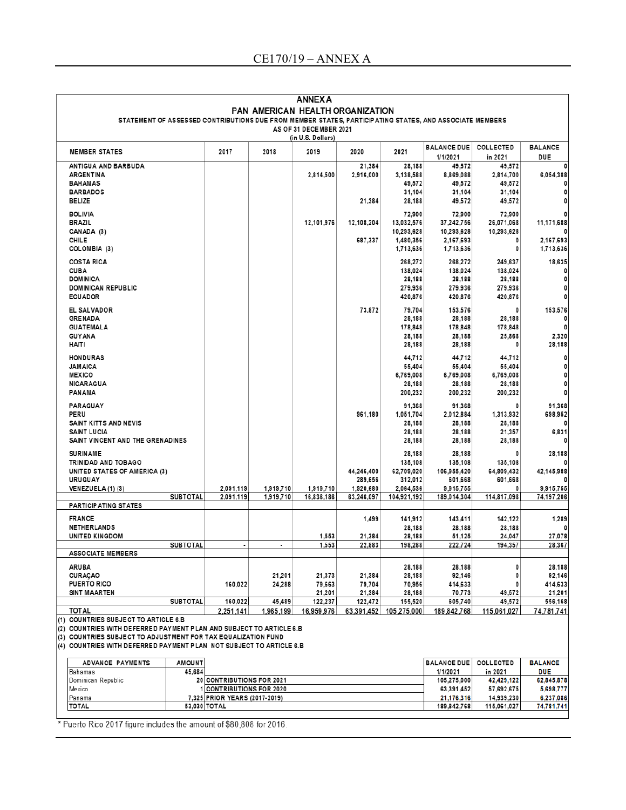| <b>ANNEX A</b>                                                                                          |                               |           |            |            |                        |                    |                  |                |  |
|---------------------------------------------------------------------------------------------------------|-------------------------------|-----------|------------|------------|------------------------|--------------------|------------------|----------------|--|
| PAN AMERICAN HEALTH ORGANIZATION                                                                        |                               |           |            |            |                        |                    |                  |                |  |
| STATEMENT OF ASSESSED CONTRIBUTIONS DUE FROM MEMBER STATES, PARTICIPATING STATES, AND ASSOCIATE MEMBERS |                               |           |            |            |                        |                    |                  |                |  |
| AS OF 31 DECEMBER 2021                                                                                  |                               |           |            |            |                        |                    |                  |                |  |
| (in U.S. Dollars)                                                                                       |                               |           |            |            |                        |                    |                  |                |  |
| <b>MEMBER STATES</b>                                                                                    | 2017                          | 2018      | 2019       | 2020       | 2021                   | <b>BALANCE DUE</b> | <b>COLLECTED</b> | <b>BALANCE</b> |  |
|                                                                                                         |                               |           |            |            |                        | 1/1/2021           | in 2021          | DUE            |  |
| ANTIGUA AND BARBUDA                                                                                     |                               |           |            | 21,384     | 28.188                 | 49,572             | 49,572           | 0              |  |
| <b>ARGENTINA</b>                                                                                        |                               |           | 2,814,500  | 2,916,000  | 3,138,588              | 8,869,088          | 2,814,700        | 6,054,388      |  |
| <b>BAHAMAS</b>                                                                                          |                               |           |            |            | 49,572                 | 49,572             | 49,572           |                |  |
| <b>BARBADOS</b>                                                                                         |                               |           |            |            | 31,104                 | 31,104             | 31,104           | 0              |  |
| <b>BELIZE</b>                                                                                           |                               |           |            | 21,384     | 28,188                 | 49,572             | 49,572           | 0              |  |
| <b>BOLIVIA</b>                                                                                          |                               |           |            |            | 72,900                 | 72,900             | 72.900           | 0              |  |
| <b>BRAZIL</b>                                                                                           |                               |           | 12,101,976 | 12,108,204 | 13,032,576             | 37,242,756         | 26,071,068       | 11,171,688     |  |
| CANADA (3)                                                                                              |                               |           |            |            | 10,293,628             | 10,293,628         | 10,293,628       |                |  |
| <b>CHILE</b>                                                                                            |                               |           |            | 687,337    | 1,480,356              | 2,167,693          | 0                | 2,167,693      |  |
| COLOMBIA (3)                                                                                            |                               |           |            |            | 1,713,636              | 1,713,636          | 0                | 1,713,636      |  |
| <b>COSTA RICA</b>                                                                                       |                               |           |            |            | 268,272                | 268,272            | 249,637          | 18,635         |  |
| <b>CUBA</b>                                                                                             |                               |           |            |            | 138,024                | 138,024            | 138,024          | 0              |  |
| <b>DOMINICA</b>                                                                                         |                               |           |            |            | 28,188                 | 28,188             | 28,188           | 0              |  |
| <b>DOMINICAN REPUBLIC</b>                                                                               |                               |           |            |            | 279,936                | 279,936            | 279,936          | 0              |  |
| <b>ECUADOR</b>                                                                                          |                               |           |            |            | 420,876                | 420,876            | 420,876          | 0              |  |
|                                                                                                         |                               |           |            |            |                        |                    |                  |                |  |
| EL SALVADOR                                                                                             |                               |           |            | 73,872     | 79,704                 | 153,576            | 0                | 153,576        |  |
| <b>GRENADA</b>                                                                                          |                               |           |            |            | 28,188                 | 28,188             | 28,188           | 0              |  |
| <b>GUATEMALA</b>                                                                                        |                               |           |            |            | 178,848                | 178,848            | 178,848          | 0              |  |
| <b>GUYANA</b>                                                                                           |                               |           |            |            | 28,188                 | 28,188             | 25,868           | 2,320          |  |
| <b>HAITI</b>                                                                                            |                               |           |            |            | 28,188                 | 28,188             | O                | 28,188         |  |
| <b>HONDURAS</b>                                                                                         |                               |           |            |            | 44,712                 | 44,712             | 44,712           | 0              |  |
| <b>JAMAICA</b>                                                                                          |                               |           |            |            | 55,404                 | 55,404             | 55,404           | 0              |  |
| <b>MEXICO</b>                                                                                           |                               |           |            |            | 6,769,008              | 6,769,008          | 6,769,008        | 0              |  |
| <b>NICARAGUA</b>                                                                                        |                               |           |            |            | 28,188                 | 28,188             | 28,188           | 0              |  |
| PANAMA                                                                                                  |                               |           |            |            | 200,232                | 200,232            | 200,232          | 0              |  |
|                                                                                                         |                               |           |            |            |                        |                    |                  |                |  |
| PARAGUAY                                                                                                |                               |           |            |            | 91,368                 | 91,368             | 0                | 91,368         |  |
| PERU                                                                                                    |                               |           |            | 961,180    | 1,051,704              | 2,012,884          | 1,313,932        | 698,952        |  |
| SAINT KITTS AND NEVIS                                                                                   |                               |           |            |            | 28,188                 | 28,188             | 28,188           | 0              |  |
| <b>SAINT LUCIA</b>                                                                                      |                               |           |            |            | 28,188                 | 28,188             | 21,357           | 6,831          |  |
| SAINT VINCENT AND THE GRENADINES                                                                        |                               |           |            |            | 28,188                 | 28,188             | 28,188           | 0              |  |
| <b>SURINAME</b>                                                                                         |                               |           |            |            | 28,188                 | 28,188             | 0                | 28,188         |  |
| TRINIDAD AND TOBAGO                                                                                     |                               |           |            |            | 135,108                | 135,108            | 135,108          |                |  |
| UNITED STATES OF AMERICA (3)                                                                            |                               |           |            | 44,246,400 | 62,709,020             | 106,955,420        | 64,809,432       | 42,145,988     |  |
| <b>URUGUAY</b>                                                                                          |                               |           |            | 289,656    | 312,012                | 601,668            | 601,668          |                |  |
| VENEZUELA (1) (3)                                                                                       | 2,091,119                     | 1,919,710 | 1,919,710  | 1,920,680  | 2,064,536              | 9,915,755          | O                | 9,915,755      |  |
| <b>SUBTOTAL</b>                                                                                         | 2,091,119                     | 1,919,710 | 16,836,186 | 63.246.097 | 104,921,192            | 189,014,304        | 114,817,098      | 74,197,206     |  |
| <b>PARTICIPATING STATES</b>                                                                             |                               |           |            |            |                        |                    |                  |                |  |
| <b>FRANCE</b>                                                                                           |                               |           |            | 1,499      | 141,912                | 143,411            | 142,122          | 1,289          |  |
| <b>NETHERLANDS</b>                                                                                      |                               |           |            |            | 28,188                 | 28,188             | 28,188           | 0              |  |
| UNITED KINGDOM                                                                                          |                               |           | 1,553      | 21,384     | 28,188                 | 51,125             | 24,047           | 27,078         |  |
| <b>SUBTOTAL</b>                                                                                         | $\overline{\phantom{a}}$      |           | 1,553      | 22,883     | 198,288                | 222,724            | 194,357          | 28,367         |  |
| <b>ASSOCIATE MEMBERS</b>                                                                                |                               |           |            |            |                        |                    |                  |                |  |
| ARUBA                                                                                                   |                               |           |            |            | 28,188                 | 28,188             | 0                | 28,188         |  |
| <b>CURACAO</b>                                                                                          |                               | 21,201    | 21,373     | 21,384     | 28,188                 | 92,146             | 0                | 92,146         |  |
| <b>PUERTO RICO</b>                                                                                      | 160,022                       | 24,288    | 79,663     | 79,704     | 70,956                 | 414,633            |                  | 414,633        |  |
| SINT MAARTEN                                                                                            |                               |           | 21,201     | 21,384     | 28,188                 | 70,773             | 49,572           | 21,201         |  |
| <b>SUBTOTAL</b>                                                                                         | 160,022                       | 45,489    | 122.237    | 122,472    | 155,520                | 605,740            | 49,572           | 556,168        |  |
| <b>TOTAL</b>                                                                                            | 2,251,141                     | 1,965,199 | 16,959,976 |            | 63,391,452 105,275,000 | 189,842,768        | 115.061.027      | 74,781,741     |  |
| (1) COUNTRIES SUBJECT TO ARTICLE 6.B                                                                    |                               |           |            |            |                        |                    |                  |                |  |
| (2) COUNTRIES WITH DEFERRED PAYMENT PLAN AND SUBJECT TO ARTICLE 6.B                                     |                               |           |            |            |                        |                    |                  |                |  |
| (3) COUNTRIES SUBJECT TO ADJUSTMENT FOR TAX EQUALIZATION FUND                                           |                               |           |            |            |                        |                    |                  |                |  |
| (4) COUNTRIES WITH DEFERRED PAYMENT PLAN NOT SUBJECT TO ARTICLE 6.B                                     |                               |           |            |            |                        |                    |                  |                |  |
|                                                                                                         |                               |           |            |            |                        |                    |                  |                |  |
| <b>AMOUNT</b><br><b>ADVANCE PAYMENTS</b>                                                                |                               |           |            |            |                        | <b>BALANCE DUE</b> | COLLECTED        | <b>BALANCE</b> |  |
| 45,684<br>Bahamas                                                                                       |                               |           |            |            |                        | 1/1/2021           | in 2021          | <b>DUE</b>     |  |
| Dominican Republic                                                                                      | 20 CONTRIBUTIONS FOR 2021     |           |            |            |                        | 105,275,000        | 42,429,122       | 62,845,878     |  |
| Mexico                                                                                                  | <b>CONTRIBUTIONS FOR 2020</b> |           |            |            |                        | 63,391,452         | 57,692,675       | 5,698,777      |  |
| Panama                                                                                                  | 7,325 PRIOR YEARS (2017-2019) |           |            |            |                        | 21,176,316         | 14,939,230       | 6,237,086      |  |
| <b>TOTAL</b>                                                                                            | 53,030 TOTAL                  |           |            |            |                        | 189,842,768        | 115,061,027      | 74,781,741     |  |
|                                                                                                         |                               |           |            |            |                        |                    |                  |                |  |

\* Puerto Rico 2017 figure includes the amount of \$80,808 for 2016.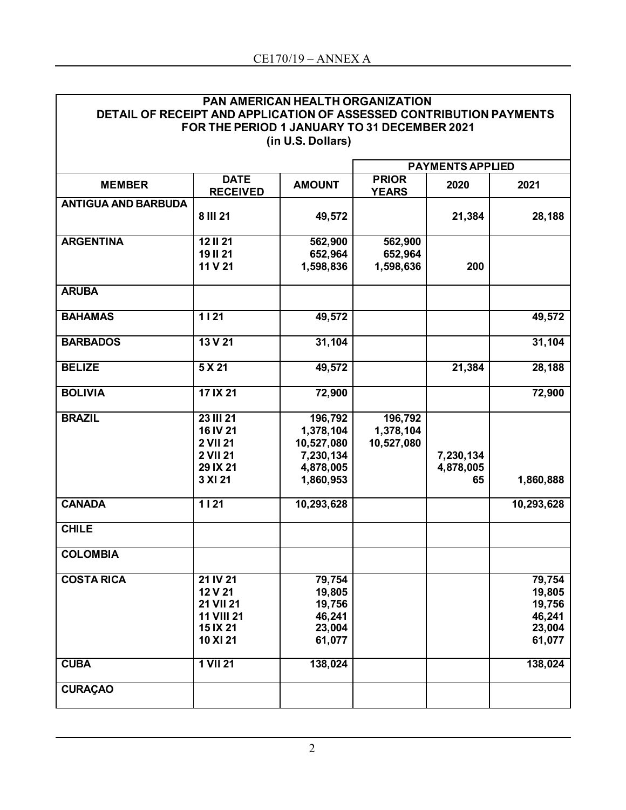| <b>PAN AMERICAN HEALTH ORGANIZATION</b>                             |
|---------------------------------------------------------------------|
| DETAIL OF RECEIPT AND APPLICATION OF ASSESSED CONTRIBUTION PAYMENTS |
| FOR THE PERIOD 1 JANUARY TO 31 DECEMBER 2021                        |
| (in U.S. Dollars)                                                   |

|                            |                                                                                    | <b>PAYMENTS APPLIED</b>                                                   |                                    |                              |                                                          |
|----------------------------|------------------------------------------------------------------------------------|---------------------------------------------------------------------------|------------------------------------|------------------------------|----------------------------------------------------------|
| <b>MEMBER</b>              | <b>DATE</b><br><b>RECEIVED</b>                                                     | <b>AMOUNT</b>                                                             | <b>PRIOR</b><br><b>YEARS</b>       | 2020                         | 2021                                                     |
| <b>ANTIGUA AND BARBUDA</b> | 8 III 21                                                                           | 49,572                                                                    |                                    | 21,384                       | 28,188                                                   |
| <b>ARGENTINA</b>           | <b>12 II 21</b><br><b>19 II 21</b><br>11 V 21                                      | 562,900<br>652,964<br>1,598,836                                           | 562,900<br>652,964<br>1,598,636    | 200                          |                                                          |
| <b>ARUBA</b>               |                                                                                    |                                                                           |                                    |                              |                                                          |
| <b>BAHAMAS</b>             | $1121$                                                                             | 49,572                                                                    |                                    |                              | 49,572                                                   |
| <b>BARBADOS</b>            | 13 V 21                                                                            | 31,104                                                                    |                                    |                              | 31,104                                                   |
| <b>BELIZE</b>              | 5 X 21                                                                             | 49,572                                                                    |                                    | 21,384                       | 28,188                                                   |
| <b>BOLIVIA</b>             | 17 IX 21                                                                           | 72,900                                                                    |                                    |                              | 72,900                                                   |
| <b>BRAZIL</b>              | <b>23 III 21</b><br>16 IV 21<br>2 VII 21<br><b>2 VII 21</b><br>29 IX 21<br>3 XI 21 | 196,792<br>1,378,104<br>10,527,080<br>7,230,134<br>4,878,005<br>1,860,953 | 196,792<br>1,378,104<br>10,527,080 | 7,230,134<br>4,878,005<br>65 | 1,860,888                                                |
| <b>CANADA</b>              | $\overline{1121}$                                                                  | 10,293,628                                                                |                                    |                              | 10,293,628                                               |
| <b>CHILE</b>               |                                                                                    |                                                                           |                                    |                              |                                                          |
| <b>COLOMBIA</b>            |                                                                                    |                                                                           |                                    |                              |                                                          |
| <b>COSTA RICA</b>          | 21 IV 21<br>12 V 21<br>21 VII 21<br><b>11 VIII 21</b><br>15 IX 21<br>10 XI 21      | 79,754<br>19,805<br>19,756<br>46,241<br>23,004<br>61,077                  |                                    |                              | 79,754<br>19,805<br>19,756<br>46,241<br>23,004<br>61,077 |
| <b>CUBA</b>                | 1 VII 21                                                                           | 138,024                                                                   |                                    |                              | 138,024                                                  |
| <b>CURAÇAO</b>             |                                                                                    |                                                                           |                                    |                              |                                                          |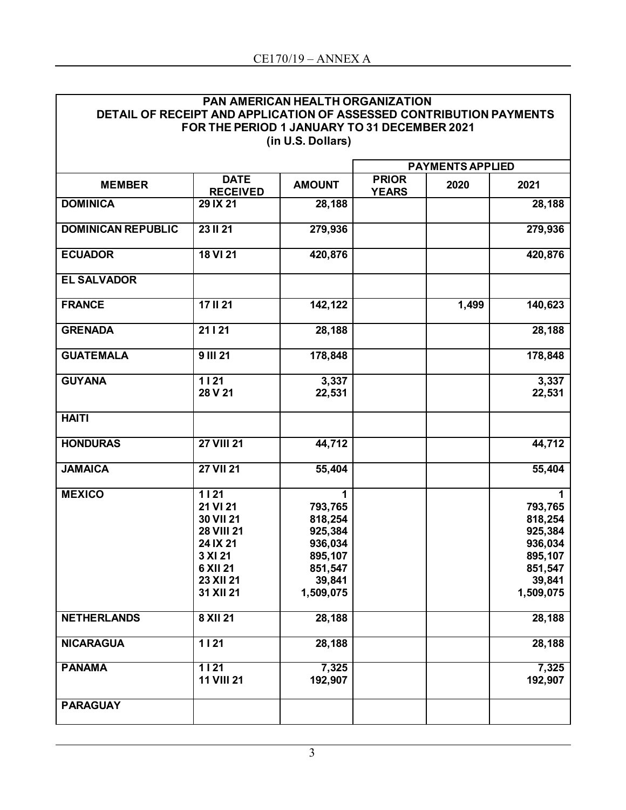| <b>PAN AMERICAN HEALTH ORGANIZATION</b>                             |
|---------------------------------------------------------------------|
| DETAIL OF RECEIPT AND APPLICATION OF ASSESSED CONTRIBUTION PAYMENTS |
| FOR THE PERIOD 1 JANUARY TO 31 DECEMBER 2021                        |
| (in U.S. Dollars)                                                   |

|                           |                                                                                                                 | <b>PAYMENTS APPLIED</b>                                                               |                              |       |                                                                                            |
|---------------------------|-----------------------------------------------------------------------------------------------------------------|---------------------------------------------------------------------------------------|------------------------------|-------|--------------------------------------------------------------------------------------------|
| <b>MEMBER</b>             | <b>DATE</b><br><b>RECEIVED</b>                                                                                  | <b>AMOUNT</b>                                                                         | <b>PRIOR</b><br><b>YEARS</b> | 2020  | 2021                                                                                       |
| <b>DOMINICA</b>           | 29 IX 21                                                                                                        | 28,188                                                                                |                              |       | 28,188                                                                                     |
| <b>DOMINICAN REPUBLIC</b> | 23 II 21                                                                                                        | 279,936                                                                               |                              |       | 279,936                                                                                    |
| <b>ECUADOR</b>            | 18 VI 21                                                                                                        | 420,876                                                                               |                              |       | 420,876                                                                                    |
| <b>EL SALVADOR</b>        |                                                                                                                 |                                                                                       |                              |       |                                                                                            |
| <b>FRANCE</b>             | 17 II 21                                                                                                        | 142,122                                                                               |                              | 1,499 | 140,623                                                                                    |
| <b>GRENADA</b>            | 21   21                                                                                                         | 28,188                                                                                |                              |       | 28,188                                                                                     |
| <b>GUATEMALA</b>          | <b>9 III 21</b>                                                                                                 | 178,848                                                                               |                              |       | 178,848                                                                                    |
| <b>GUYANA</b>             | $1121$<br>28 V 21                                                                                               | 3,337<br>22,531                                                                       |                              |       | 3,337<br>22,531                                                                            |
| <b>HAITI</b>              |                                                                                                                 |                                                                                       |                              |       |                                                                                            |
| <b>HONDURAS</b>           | <b>27 VIII 21</b>                                                                                               | 44,712                                                                                |                              |       | 44,712                                                                                     |
| <b>JAMAICA</b>            | <b>27 VII 21</b>                                                                                                | 55,404                                                                                |                              |       | 55,404                                                                                     |
| <b>MEXICO</b>             | 1121<br>21 VI 21<br>30 VII 21<br><b>28 VIII 21</b><br>24 IX 21<br>3 XI 21<br>6 XII 21<br>23 XII 21<br>31 XII 21 | 793,765<br>818,254<br>925,384<br>936,034<br>895,107<br>851,547<br>39,841<br>1,509,075 |                              |       | 1<br>793,765<br>818,254<br>925,384<br>936,034<br>895,107<br>851,547<br>39,841<br>1,509,075 |
| <b>NETHERLANDS</b>        | 8 XII 21                                                                                                        | 28,188                                                                                |                              |       | 28,188                                                                                     |
| <b>NICARAGUA</b>          | $1121$                                                                                                          | 28,188                                                                                |                              |       | 28,188                                                                                     |
| <b>PANAMA</b>             | $1121$<br><b>11 VIII 21</b>                                                                                     | 7,325<br>192,907                                                                      |                              |       | 7,325<br>192,907                                                                           |
| <b>PARAGUAY</b>           |                                                                                                                 |                                                                                       |                              |       |                                                                                            |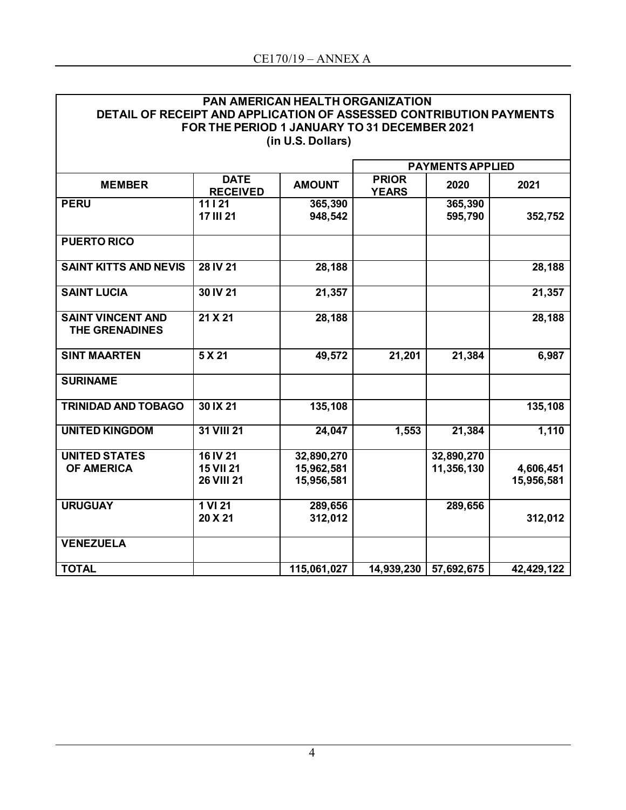| <b>PAN AMERICAN HEALTH ORGANIZATION</b>                             |
|---------------------------------------------------------------------|
| DETAIL OF RECEIPT AND APPLICATION OF ASSESSED CONTRIBUTION PAYMENTS |
| FOR THE PERIOD 1 JANUARY TO 31 DECEMBER 2021                        |
| (in U.S. Dollars)                                                   |

|                                            |                                                   |                                        |                              | <b>PAYMENTS APPLIED</b>  |                         |
|--------------------------------------------|---------------------------------------------------|----------------------------------------|------------------------------|--------------------------|-------------------------|
| <b>MEMBER</b>                              | <b>DATE</b><br><b>RECEIVED</b>                    | <b>AMOUNT</b>                          | <b>PRIOR</b><br><b>YEARS</b> | 2020                     | 2021                    |
| <b>PERU</b>                                | 11   21<br><b>17 III 21</b>                       | 365,390<br>948,542                     |                              | 365,390<br>595,790       | 352,752                 |
| <b>PUERTO RICO</b>                         |                                                   |                                        |                              |                          |                         |
| <b>SAINT KITTS AND NEVIS</b>               | 28 IV 21                                          | 28,188                                 |                              |                          | 28,188                  |
| <b>SAINT LUCIA</b>                         | 30 IV 21                                          | 21,357                                 |                              |                          | 21,357                  |
| <b>SAINT VINCENT AND</b><br>THE GRENADINES | 21 X 21                                           | 28,188                                 |                              |                          | 28,188                  |
| <b>SINT MAARTEN</b>                        | 5 X 21                                            | 49,572                                 | 21,201                       | 21,384                   | 6,987                   |
| <b>SURINAME</b>                            |                                                   |                                        |                              |                          |                         |
| <b>TRINIDAD AND TOBAGO</b>                 | 30 IX 21                                          | 135,108                                |                              |                          | 135,108                 |
| <b>UNITED KINGDOM</b>                      | 31 VIII 21                                        | 24,047                                 | 1,553                        | 21,384                   | 1,110                   |
| <b>UNITED STATES</b><br><b>OF AMERICA</b>  | 16 IV 21<br><b>15 VII 21</b><br><b>26 VIII 21</b> | 32,890,270<br>15,962,581<br>15,956,581 |                              | 32,890,270<br>11,356,130 | 4,606,451<br>15,956,581 |
| <b>URUGUAY</b>                             | 1 VI 21<br>20 X 21                                | 289,656<br>312,012                     |                              | 289,656                  | 312,012                 |
| <b>VENEZUELA</b>                           |                                                   |                                        |                              |                          |                         |
| <b>TOTAL</b>                               |                                                   | 115,061,027                            | 14,939,230                   | 57,692,675               | 42,429,122              |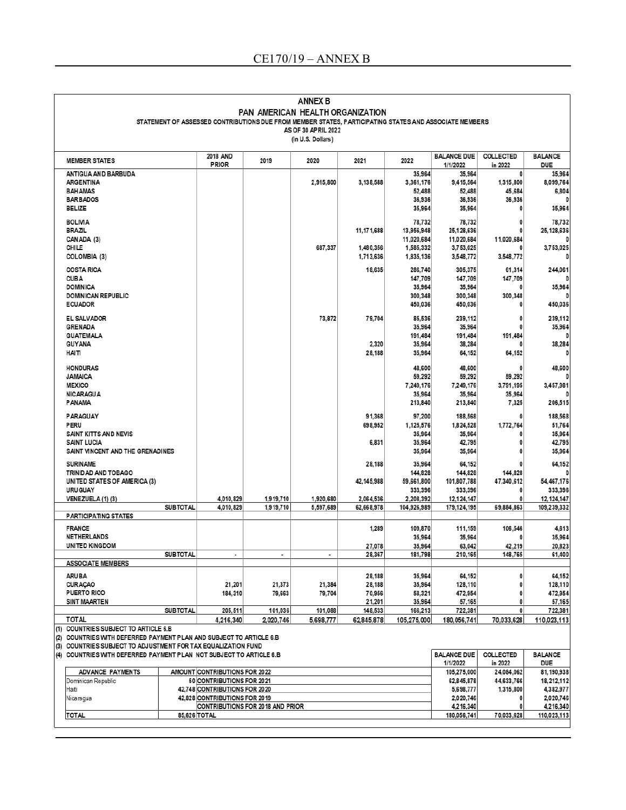|                                                           |                                                                                                                                      |                 |                                  |                      | <b>ANNEX B</b>                                                                                                                                                    |                       |                        |                                |                             |                              |
|-----------------------------------------------------------|--------------------------------------------------------------------------------------------------------------------------------------|-----------------|----------------------------------|----------------------|-------------------------------------------------------------------------------------------------------------------------------------------------------------------|-----------------------|------------------------|--------------------------------|-----------------------------|------------------------------|
|                                                           |                                                                                                                                      |                 |                                  |                      | PAN AMERICAN HEALTH ORGANIZATION<br>STATEMENT OF ASSESSED CONTRIBUTIONS DUE FROM MEMBER STATES, PARTICIPATING STATES AND ASSOCIATE MEMBERS<br>AS OF 30 APRIL 2022 |                       |                        |                                |                             |                              |
|                                                           |                                                                                                                                      |                 |                                  |                      | (in U.S. Dollars)                                                                                                                                                 |                       |                        |                                |                             |                              |
|                                                           | <b>MEMBER STATES</b>                                                                                                                 |                 | <b>2018 AND</b><br><b>PRIOR</b>  | 2019                 | 2020                                                                                                                                                              | 2021                  | 2022                   | <b>BALANCE DUE</b><br>1/1/2022 | <b>COLLECTED</b><br>in 2022 | <b>BALANCE</b><br><b>DUE</b> |
|                                                           | ANTIGUA AND BARBUDA                                                                                                                  |                 |                                  |                      |                                                                                                                                                                   |                       | 35.964                 | 35,964                         | 0                           | 35,964                       |
|                                                           | <b>ARGENTINA</b>                                                                                                                     |                 |                                  |                      | 2,915,800                                                                                                                                                         | 3,138,588             | 3,361,176              | 9,415,564                      | 1,315,800                   | 8,099,764                    |
|                                                           | <b>BAHAMAS</b>                                                                                                                       |                 |                                  |                      |                                                                                                                                                                   |                       | 52,488                 | 52.488                         | 45,684                      | 6,804                        |
|                                                           | <b>BARBADOS</b>                                                                                                                      |                 |                                  |                      |                                                                                                                                                                   |                       | 36,936                 | 36,936                         | 36,936                      | 0                            |
|                                                           | <b>BELIZE</b>                                                                                                                        |                 |                                  |                      |                                                                                                                                                                   |                       | 35,964                 | 35,964                         | 0                           | 35,964                       |
|                                                           | <b>BOLIVIA</b>                                                                                                                       |                 |                                  |                      |                                                                                                                                                                   |                       | 78,732                 | 78,732                         | 0                           | 78,732                       |
|                                                           | <b>BRAZIL</b>                                                                                                                        |                 |                                  |                      |                                                                                                                                                                   | 11,171,688            | 13,956,948             | 25.128.636                     | 0                           | 25, 128, 636                 |
|                                                           | CANADA (3)                                                                                                                           |                 |                                  |                      |                                                                                                                                                                   |                       | 11,020,684             | 11,020,684                     | 11,020,684                  |                              |
|                                                           | <b>CHILE</b>                                                                                                                         |                 |                                  |                      | 687,337                                                                                                                                                           | 1,480,356             | 1,585,332              | 3,753,025                      |                             | 3,753,025<br>0               |
|                                                           | COLOMBIA (3)                                                                                                                         |                 |                                  |                      |                                                                                                                                                                   | 1,713,636             | 1,835,136              | 3,548,772                      | 3,548,772                   |                              |
|                                                           | <b>COSTA RICA</b>                                                                                                                    |                 |                                  |                      |                                                                                                                                                                   | 18,635                | 286,740                | 305,375                        | 61,314                      | 244,061                      |
|                                                           | <b>CUBA</b>                                                                                                                          |                 |                                  |                      |                                                                                                                                                                   |                       | 147,709                | 147,709                        | 147,709                     |                              |
|                                                           | <b>DOMINICA</b>                                                                                                                      |                 |                                  |                      |                                                                                                                                                                   |                       | 35,964                 | 35,964                         |                             | 35,964                       |
|                                                           | <b>DOMINICAN REPUBLIC</b><br><b>ECUADOR</b>                                                                                          |                 |                                  |                      |                                                                                                                                                                   |                       | 300,348<br>450,036     | 300,348<br>450,036             | 300,348                     | 450,036                      |
|                                                           |                                                                                                                                      |                 |                                  |                      |                                                                                                                                                                   |                       |                        |                                |                             |                              |
|                                                           | <b>EL SALVADOR</b>                                                                                                                   |                 |                                  |                      | 73,872                                                                                                                                                            | 79,704                | 85,536                 | 239,112                        | 0                           | 239,112                      |
|                                                           | <b>GRENADA</b>                                                                                                                       |                 |                                  |                      |                                                                                                                                                                   |                       | 35,964                 | 35,964                         |                             | 35,964                       |
|                                                           | <b>GUATEMALA</b>                                                                                                                     |                 |                                  |                      |                                                                                                                                                                   |                       | 191,484                | 191,484                        | 191,484                     | n                            |
|                                                           | <b>GUYANA</b><br>HAITI                                                                                                               |                 |                                  |                      |                                                                                                                                                                   | 2,320<br>28,188       | 35,964<br>35,964       | 38,284<br>64,152               |                             | 38,284                       |
|                                                           |                                                                                                                                      |                 |                                  |                      |                                                                                                                                                                   |                       |                        |                                | 64,152                      | 0                            |
|                                                           | <b>HONDURAS</b>                                                                                                                      |                 |                                  |                      |                                                                                                                                                                   |                       | 48,600                 | 48,600                         | 0                           | 48,600                       |
|                                                           | <b>JAMAICA</b>                                                                                                                       |                 |                                  |                      |                                                                                                                                                                   |                       | 59,292                 | 59,292                         | 59,292                      |                              |
|                                                           | <b>MEXICO</b>                                                                                                                        |                 |                                  |                      |                                                                                                                                                                   |                       | 7.249.176              | 7,249,176                      | 3,791,195                   | 3,457,981                    |
|                                                           | <b>NICARAGUA</b>                                                                                                                     |                 |                                  |                      |                                                                                                                                                                   |                       | 35,964                 | 35,964                         | 35,964                      |                              |
|                                                           | PANAMA                                                                                                                               |                 |                                  |                      |                                                                                                                                                                   |                       | 213,840                | 213,840                        | 7,325                       | 206,515                      |
|                                                           | <b>PARAGUAY</b>                                                                                                                      |                 |                                  |                      |                                                                                                                                                                   | 91,368                | 97,200                 | 188,568                        |                             | 188,568                      |
|                                                           | PERU                                                                                                                                 |                 |                                  |                      |                                                                                                                                                                   | 698,952               | 1,125,576              | 1,824,528                      | 1,772,764                   | 51,764                       |
|                                                           | SAINT KITTS AND NEVIS                                                                                                                |                 |                                  |                      |                                                                                                                                                                   |                       | 35,964                 | 35,964                         |                             | 35,964                       |
|                                                           | <b>SAINT LUCIA</b>                                                                                                                   |                 |                                  |                      |                                                                                                                                                                   | 6,831                 | 35,964                 | 42,795                         | 0<br>0                      | 42,795                       |
|                                                           | SAINT VINCENT AND THE GRENADINES                                                                                                     |                 |                                  |                      |                                                                                                                                                                   |                       | 35,964                 | 35,964                         |                             | 35,964                       |
|                                                           | <b>SURINAME</b>                                                                                                                      |                 |                                  |                      |                                                                                                                                                                   | 28,188                | 35,964                 | 64,152                         |                             | 64,152                       |
|                                                           | TRINIDAD AND TOBAGO                                                                                                                  |                 |                                  |                      |                                                                                                                                                                   |                       | 144,828                | 144,828                        | 144.828                     | 0                            |
|                                                           | UNITED STATES OF AMERICA (3)<br><b>URU GUAY</b>                                                                                      |                 |                                  |                      |                                                                                                                                                                   | 42,145,988            | 59,661,800<br>333,396  | 101,807,788<br>333,396         | 47,340,612<br>0             | 54,467,176<br>333,396        |
|                                                           | VENEZUELA (1) (3)                                                                                                                    |                 | 4,010,829                        | 1,919,710            | 1,920,680                                                                                                                                                         | 2,064,536             | 2.208.392              | 12,124,147                     | 0                           | 12, 124, 147                 |
|                                                           |                                                                                                                                      | <b>SUBTOTAL</b> | 4,010,829                        | 1,919,710            | 5,597,689                                                                                                                                                         | 62,668,978            | 104,926,989            | 179,124,195                    | 69,884,863                  | 109,239,332                  |
|                                                           | <b>PARTICIPATING STATES</b>                                                                                                          |                 |                                  |                      |                                                                                                                                                                   |                       |                        |                                |                             |                              |
|                                                           | <b>FRANCE</b>                                                                                                                        |                 |                                  |                      |                                                                                                                                                                   | 1,289                 | 109,870                | 111.159                        | 106,546                     | 4,613                        |
|                                                           | NETHERLANDS                                                                                                                          |                 |                                  |                      |                                                                                                                                                                   |                       | 35,964                 | 35,964                         | 0                           | 35,964                       |
|                                                           | <b>UNITED KINGDOM</b>                                                                                                                |                 |                                  |                      |                                                                                                                                                                   | 27,078                | 35,964                 | 63,042                         | 42,219                      | 20,823                       |
|                                                           |                                                                                                                                      | <b>SUBTOTAL</b> |                                  |                      |                                                                                                                                                                   | 28,367                | 181,798                | 210,165                        | 148,765                     | 61,400                       |
|                                                           | <b>ASSOCIATE MEMBERS</b>                                                                                                             |                 |                                  |                      |                                                                                                                                                                   |                       |                        |                                |                             |                              |
|                                                           | <b>ARUBA</b>                                                                                                                         |                 |                                  |                      |                                                                                                                                                                   | 28,188                | 35,964                 | 64.152                         | 0                           | 64,152                       |
|                                                           | <b>CURAÇÃO</b>                                                                                                                       |                 | 21,201                           | 21,373               | 21,384                                                                                                                                                            | 28,188                | 35,964                 | 128,110                        | 0                           | 128,110                      |
|                                                           | <b>PUERTO RICO</b>                                                                                                                   |                 | 184,310                          | 79,663               | 79,704                                                                                                                                                            | 70,956                | 58,321                 | 472,954                        | 0                           | 472,954                      |
|                                                           | <b>SINT MAARTEN</b>                                                                                                                  |                 |                                  |                      |                                                                                                                                                                   | 21,201                | 35,964                 | 57,165                         | 0                           | 57,165                       |
|                                                           | <b>TOTAL</b>                                                                                                                         | <b>SUBTOTAL</b> | 205,511<br>4,216,340             | 101,036<br>2.020.746 | 101,088<br>5,698,777                                                                                                                                              | 148,533<br>62.845.878 | 166,213<br>105,275,000 | 722,381<br>180,056,741         | 0<br>70,033,628             | 722,381<br>110,023,113       |
|                                                           | (1) COUNTRIES SUBJECT TO ARTICLE 6.B                                                                                                 |                 |                                  |                      |                                                                                                                                                                   |                       |                        |                                |                             |                              |
|                                                           | (2) COUNTRIES WITH DEFERRED PAYMENT PLAN AND SUBJECT TO ARTICLE 6.B<br>(3) COUNTRIES SUBJECT TO ADJUSTMENT FOR TAX EQUALIZATION FUND |                 |                                  |                      |                                                                                                                                                                   |                       |                        |                                |                             |                              |
|                                                           | (4) COUNTRIES WITH DEFERRED PAYMENT PLAN NOT SUBJECT TO ARTICLE 6.B                                                                  |                 |                                  |                      |                                                                                                                                                                   |                       |                        | <b>BALANCE DUE</b><br>1/1/2022 | <b>COLLECTED</b><br>in 2022 | <b>BALANCE</b><br>DUE        |
|                                                           | ADVANCE PAYMENTS                                                                                                                     |                 | AMOUNT CONTRIBUTIONS FOR 2022    |                      |                                                                                                                                                                   |                       |                        | 105,275,000                    | 24,084,062                  | 81,190,938                   |
|                                                           | Dominican Republic                                                                                                                   |                 | 50 CONTRIBUTIONS FOR 2021        |                      |                                                                                                                                                                   |                       |                        | 62,845,878                     | 44,633,766                  | 18,212,112                   |
|                                                           | Haiti                                                                                                                                |                 | 42,748 CONTRIBUTIONS FOR 2020    |                      |                                                                                                                                                                   |                       |                        | 5,698,777                      | 1,315,800                   | 4,382,977                    |
|                                                           | Nicaragua                                                                                                                            |                 | 42,828 CONTRIBUTIONS FOR 2019    |                      |                                                                                                                                                                   |                       |                        | 2,020,746                      | 0                           | 2,020,746                    |
|                                                           |                                                                                                                                      |                 | CONTRIBUTIONS FOR 2018 AND PRIOR |                      |                                                                                                                                                                   |                       |                        | 4,216,340                      | 0                           | 4,216,340                    |
| 85,626 TOTAL<br>70,033,628<br><b>TOTAL</b><br>180,056,741 |                                                                                                                                      |                 |                                  |                      |                                                                                                                                                                   |                       |                        | 110,023,113                    |                             |                              |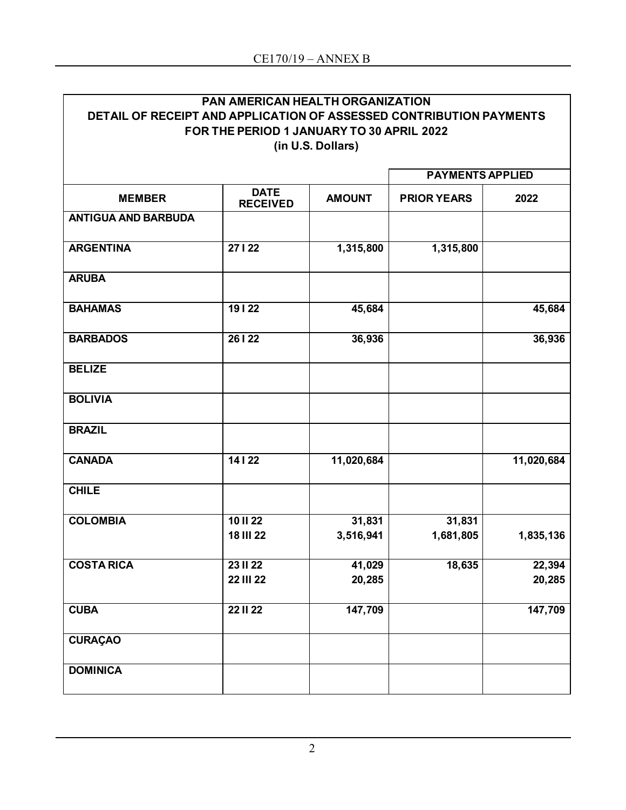| <b>PAN AMERICAN HEALTH ORGANIZATION</b>                             |
|---------------------------------------------------------------------|
| DETAIL OF RECEIPT AND APPLICATION OF ASSESSED CONTRIBUTION PAYMENTS |
| FOR THE PERIOD 1 JANUARY TO 30 APRIL 2022                           |
| (in U.S. Dollars)                                                   |
|                                                                     |

|                            |                                                 |                  | <b>PAYMENTS APPLIED</b> |                  |  |  |
|----------------------------|-------------------------------------------------|------------------|-------------------------|------------------|--|--|
| <b>MEMBER</b>              | <b>DATE</b><br><b>RECEIVED</b>                  | <b>AMOUNT</b>    | <b>PRIOR YEARS</b>      | 2022             |  |  |
| <b>ANTIGUA AND BARBUDA</b> |                                                 |                  |                         |                  |  |  |
| <b>ARGENTINA</b>           | 27122                                           | 1,315,800        | 1,315,800               |                  |  |  |
| <b>ARUBA</b>               |                                                 |                  |                         |                  |  |  |
| <b>BAHAMAS</b>             | 19122                                           | 45,684           |                         | 45,684           |  |  |
| <b>BARBADOS</b>            | 26   22                                         | 36,936           |                         | 36,936           |  |  |
| <b>BELIZE</b>              |                                                 |                  |                         |                  |  |  |
| <b>BOLIVIA</b>             |                                                 |                  |                         |                  |  |  |
| <b>BRAZIL</b>              |                                                 |                  |                         |                  |  |  |
| <b>CANADA</b>              | 14122                                           | 11,020,684       |                         | 11,020,684       |  |  |
| <b>CHILE</b>               |                                                 |                  |                         |                  |  |  |
| <b>COLOMBIA</b>            | $\overline{10}$ $\overline{11}$ $\overline{22}$ | 31,831           | 31,831                  |                  |  |  |
|                            | <b>18 III 22</b>                                | 3,516,941        | 1,681,805               | 1,835,136        |  |  |
| <b>COSTA RICA</b>          | <b>23 II 22</b><br><b>22 III 22</b>             | 41,029<br>20,285 | 18,635                  | 22,394<br>20,285 |  |  |
| <b>CUBA</b>                | <b>22 II 22</b>                                 | 147,709          |                         | 147,709          |  |  |
| <b>CURAÇAO</b>             |                                                 |                  |                         |                  |  |  |
| <b>DOMINICA</b>            |                                                 |                  |                         |                  |  |  |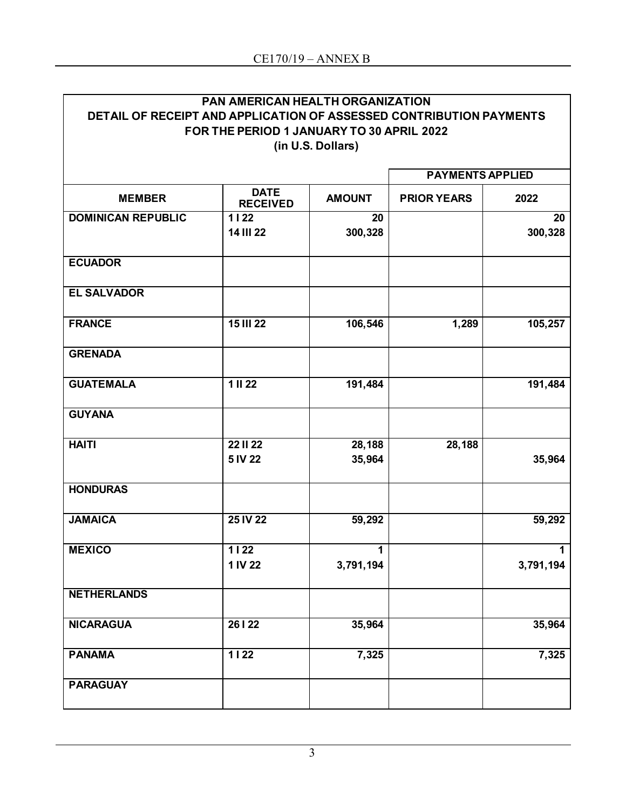| <b>PAN AMERICAN HEALTH ORGANIZATION</b>                             |
|---------------------------------------------------------------------|
|                                                                     |
|                                                                     |
| DETAIL OF RECEIPT AND APPLICATION OF ASSESSED CONTRIBUTION PAYMENTS |
|                                                                     |
| FOR THE PERIOD 1 JANUARY TO 30 APRIL 2022                           |
|                                                                     |
| (in U.S. Dollars)                                                   |
|                                                                     |

|                           | <b>PAYMENTS APPLIED</b>              |                  |                    |               |
|---------------------------|--------------------------------------|------------------|--------------------|---------------|
| <b>MEMBER</b>             | <b>DATE</b><br><b>RECEIVED</b>       | <b>AMOUNT</b>    | <b>PRIOR YEARS</b> | 2022          |
| <b>DOMINICAN REPUBLIC</b> | $\frac{1}{1122}$<br><b>14 III 22</b> | 20<br>300,328    |                    | 20<br>300,328 |
| <b>ECUADOR</b>            |                                      |                  |                    |               |
| <b>EL SALVADOR</b>        |                                      |                  |                    |               |
| <b>FRANCE</b>             | <b>15 III 22</b>                     | 106,546          | 1,289              | 105,257       |
| <b>GRENADA</b>            |                                      |                  |                    |               |
| <b>GUATEMALA</b>          | $\overline{1 \parallel 22}$          | 191,484          |                    | 191,484       |
| <b>GUYANA</b>             |                                      |                  |                    |               |
| <b>HAITI</b>              | <b>22 II 22</b><br>5 IV 22           | 28,188<br>35,964 | 28,188             | 35,964        |
| <b>HONDURAS</b>           |                                      |                  |                    |               |
| <b>JAMAICA</b>            | 25 IV 22                             | 59,292           |                    | 59,292        |
| <b>MEXICO</b>             | $\overline{1122}$<br>1 IV 22         | 1<br>3,791,194   |                    | 3,791,194     |
| <b>NETHERLANDS</b>        |                                      |                  |                    |               |
| <b>NICARAGUA</b>          | 26   22                              | 35,964           |                    | 35,964        |
| <b>PANAMA</b>             | $1122$                               | 7,325            |                    | 7,325         |
| <b>PARAGUAY</b>           |                                      |                  |                    |               |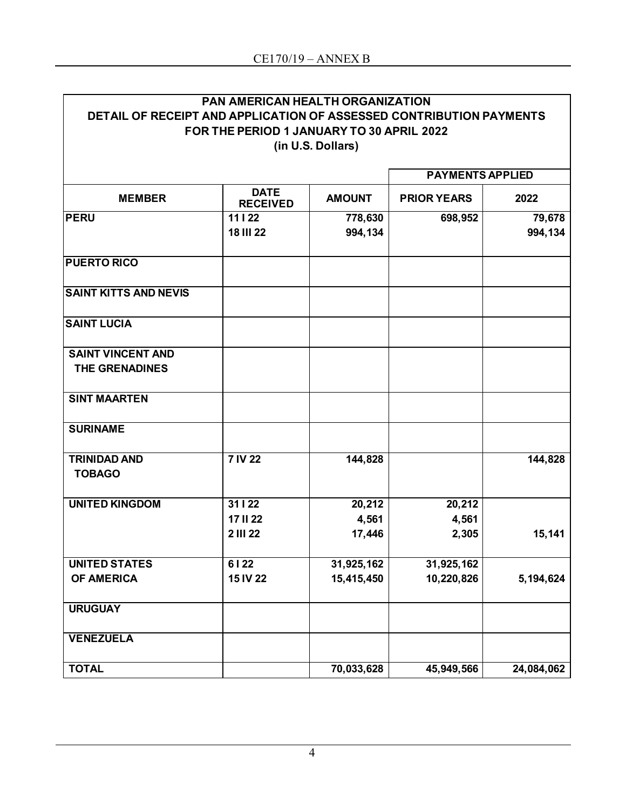|                                                                     | <b>PAN AMERICAN HEALTH ORGANIZATION</b>   |                         |                    |            |
|---------------------------------------------------------------------|-------------------------------------------|-------------------------|--------------------|------------|
| DETAIL OF RECEIPT AND APPLICATION OF ASSESSED CONTRIBUTION PAYMENTS |                                           |                         |                    |            |
|                                                                     | FOR THE PERIOD 1 JANUARY TO 30 APRIL 2022 |                         |                    |            |
|                                                                     |                                           | (in U.S. Dollars)       |                    |            |
|                                                                     |                                           | <b>PAYMENTS APPLIED</b> |                    |            |
|                                                                     | <b>DATE</b>                               |                         |                    |            |
| <b>MEMBER</b>                                                       | <b>RECEIVED</b>                           | <b>AMOUNT</b>           | <b>PRIOR YEARS</b> | 2022       |
| <b>PERU</b>                                                         | 11122                                     | 778,630                 | 698,952            | 79,678     |
|                                                                     | <b>18 III 22</b>                          | 994,134                 |                    | 994,134    |
| <b>PUERTO RICO</b>                                                  |                                           |                         |                    |            |
| <b>SAINT KITTS AND NEVIS</b>                                        |                                           |                         |                    |            |
| <b>SAINT LUCIA</b>                                                  |                                           |                         |                    |            |
| <b>SAINT VINCENT AND</b>                                            |                                           |                         |                    |            |
| <b>THE GRENADINES</b>                                               |                                           |                         |                    |            |
| <b>SINT MAARTEN</b>                                                 |                                           |                         |                    |            |
| <b>SURINAME</b>                                                     |                                           |                         |                    |            |
| <b>TRINIDAD AND</b>                                                 | <b>7 IV 22</b>                            | 144,828                 |                    | 144,828    |
| <b>TOBAGO</b>                                                       |                                           |                         |                    |            |
| <b>UNITED KINGDOM</b>                                               | 31122                                     | 20,212                  | 20,212             |            |
|                                                                     | <b>17 II 22</b>                           | 4,561                   | 4,561              |            |
|                                                                     | <b>2 III 22</b>                           | 17,446                  | 2,305              | 15,141     |
| <b>UNITED STATES</b>                                                | 6122                                      | 31,925,162              | 31,925,162         |            |
| <b>OF AMERICA</b>                                                   | 15 IV 22                                  | 15,415,450              | 10,220,826         | 5,194,624  |
| <b>URUGUAY</b>                                                      |                                           |                         |                    |            |
| <b>VENEZUELA</b>                                                    |                                           |                         |                    |            |
| <b>TOTAL</b>                                                        |                                           | 70,033,628              | 45,949,566         | 24,084,062 |